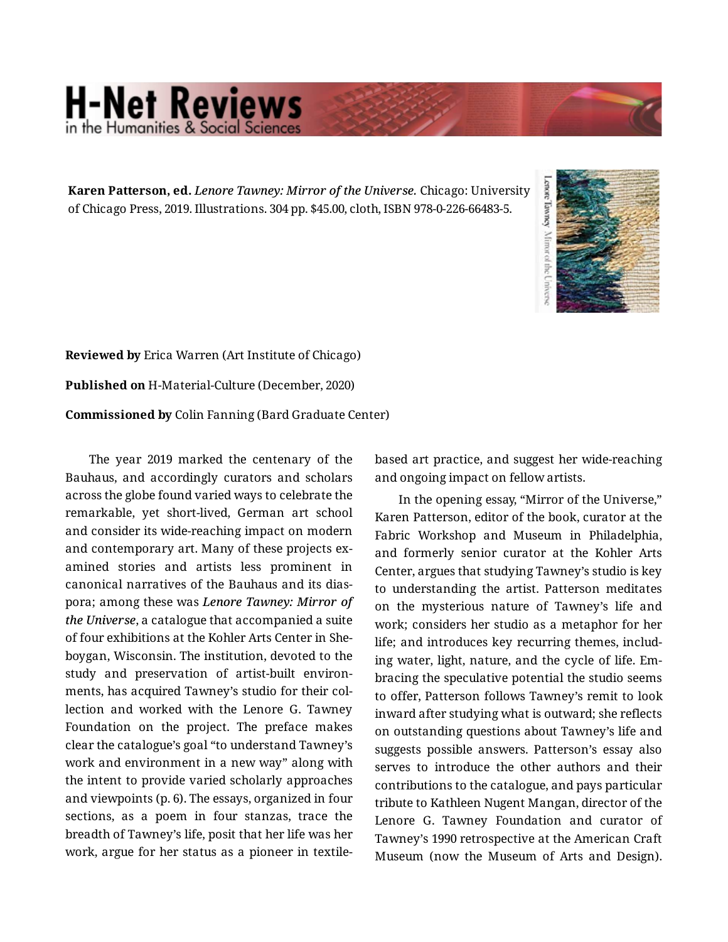## **H-Net Reviews** in the Humanities & Social Scienc

**Karen Patterson, ed.** *Lenore Tawney: Mirror of the Universe.* Chicago: University of Chicago Press, 2019. Illustrations. 304 pp. \$45.00, cloth, ISBN 978-0-226-66483-5.



**Reviewed by** Erica Warren (Art Institute of Chicago) **Published on** H-Material-Culture (December, 2020) **Commissioned by** Colin Fanning (Bard Graduate Center)

The year 2019 marked the centenary of the Bauhaus, and accordingly curators and scholars across the globe found varied ways to celebrate the remarkable, yet short-lived, German art school and consider its wide-reaching impact on modern and contemporary art. Many of these projects ex‐ amined stories and artists less prominent in canonical narratives of the Bauhaus and its dias‐ pora; among these was *Lenore Tawney: Mirror of the Universe*, a catalogue that accompanied a suite of four exhibitions at the Kohler Arts Center in She‐ boygan, Wisconsin. The institution, devoted to the study and preservation of artist-built environ‐ ments, has acquired Tawney's studio for their col‐ lection and worked with the Lenore G. Tawney Foundation on the project. The preface makes clear the catalogue's goal "to understand Tawney's work and environment in a new way" along with the intent to provide varied scholarly approaches and viewpoints (p. 6). The essays, organized in four sections, as a poem in four stanzas, trace the breadth of Tawney's life, posit that her life was her work, argue for her status as a pioneer in textilebased art practice, and suggest her wide-reaching and ongoing impact on fellow artists.

In the opening essay, "Mirror of the Universe," Karen Patterson, editor of the book, curator at the Fabric Workshop and Museum in Philadelphia, and formerly senior curator at the Kohler Arts Center, argues that studying Tawney's studio is key to understanding the artist. Patterson meditates on the mysterious nature of Tawney's life and work; considers her studio as a metaphor for her life; and introduces key recurring themes, includ‐ ing water, light, nature, and the cycle of life. Em‐ bracing the speculative potential the studio seems to offer, Patterson follows Tawney's remit to look inward after studying what is outward; she reflects on outstanding questions about Tawney's life and suggests possible answers. Patterson's essay also serves to introduce the other authors and their contributions to the catalogue, and pays particular tribute to Kathleen Nugent Mangan, director of the Lenore G. Tawney Foundation and curator of Tawney's 1990 retrospective at the American Craft Museum (now the Museum of Arts and Design).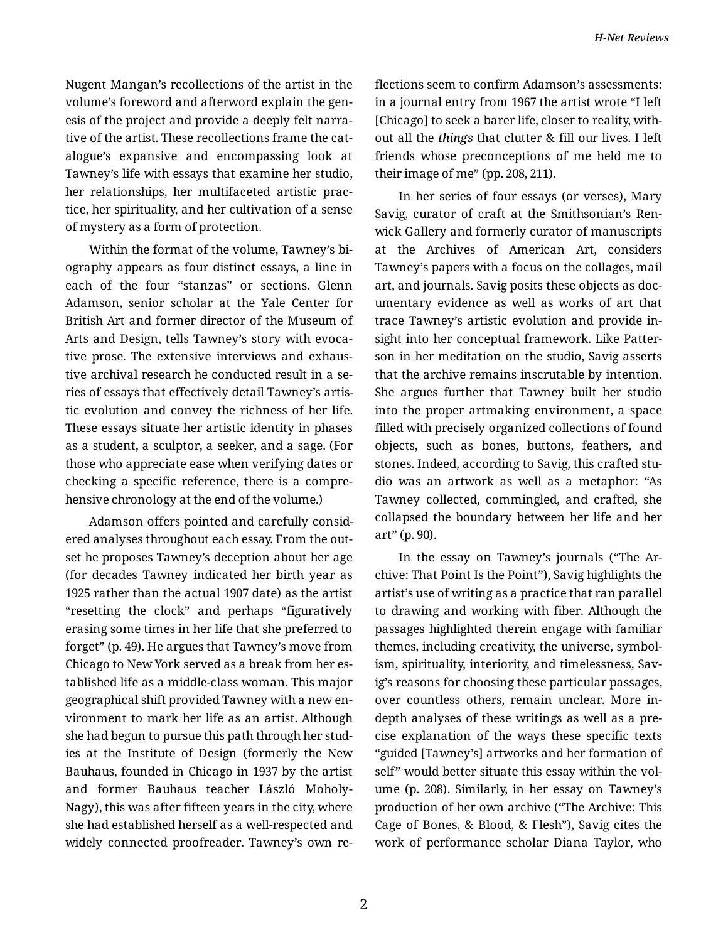Nugent Mangan's recollections of the artist in the volume's foreword and afterword explain the gen‐ esis of the project and provide a deeply felt narra‐ tive of the artist. These recollections frame the cat‐ alogue's expansive and encompassing look at Tawney's life with essays that examine her studio, her relationships, her multifaceted artistic prac‐ tice, her spirituality, and her cultivation of a sense of mystery as a form of protection.

Within the format of the volume, Tawney's bi‐ ography appears as four distinct essays, a line in each of the four "stanzas" or sections. Glenn Adamson, senior scholar at the Yale Center for British Art and former director of the Museum of Arts and Design, tells Tawney's story with evoca‐ tive prose. The extensive interviews and exhaus‐ tive archival research he conducted result in a se‐ ries of essays that effectively detail Tawney's artis‐ tic evolution and convey the richness of her life. These essays situate her artistic identity in phases as a student, a sculptor, a seeker, and a sage. (For those who appreciate ease when verifying dates or checking a specific reference, there is a compre‐ hensive chronology at the end of the volume.)

Adamson offers pointed and carefully consid‐ ered analyses throughout each essay. From the out‐ set he proposes Tawney's deception about her age (for decades Tawney indicated her birth year as 1925 rather than the actual 1907 date) as the artist "resetting the clock" and perhaps "figuratively erasing some times in her life that she preferred to forget" (p. 49). He argues that Tawney's move from Chicago to New York served as a break from her es‐ tablished life as a middle-class woman. This major geographical shift provided Tawney with a new en‐ vironment to mark her life as an artist. Although she had begun to pursue this path through her stud‐ ies at the Institute of Design (formerly the New Bauhaus, founded in Chicago in 1937 by the artist and former Bauhaus teacher László Moholy-Nagy), this was after fifteen years in the city, where she had established herself as a well-respected and widely connected proofreader. Tawney's own re‐ flections seem to confirm Adamson's assessments: in a journal entry from 1967 the artist wrote "I left [Chicago] to seek a barer life, closer to reality, with‐ out all the *things* that clutter & fill our lives. I left friends whose preconceptions of me held me to their image of me" (pp. 208, 211).

In her series of four essays (or verses), Mary Savig, curator of craft at the Smithsonian's Ren‐ wick Gallery and formerly curator of manuscripts at the Archives of American Art, considers Tawney's papers with a focus on the collages, mail art, and journals. Savig posits these objects as doc‐ umentary evidence as well as works of art that trace Tawney's artistic evolution and provide in‐ sight into her conceptual framework. Like Patter‐ son in her meditation on the studio, Savig asserts that the archive remains inscrutable by intention. She argues further that Tawney built her studio into the proper artmaking environment, a space filled with precisely organized collections of found objects, such as bones, buttons, feathers, and stones. Indeed, according to Savig, this crafted stu‐ dio was an artwork as well as a metaphor: "As Tawney collected, commingled, and crafted, she collapsed the boundary between her life and her art" (p. 90).

In the essay on Tawney's journals ("The Ar‐ chive: That Point Is the Point"), Savig highlights the artist's use of writing as a practice that ran parallel to drawing and working with fiber. Although the passages highlighted therein engage with familiar themes, including creativity, the universe, symbol‐ ism, spirituality, interiority, and timelessness, Sav‐ ig's reasons for choosing these particular passages, over countless others, remain unclear. More indepth analyses of these writings as well as a pre‐ cise explanation of the ways these specific texts "guided [Tawney's] artworks and her formation of self" would better situate this essay within the volume (p. 208). Similarly, in her essay on Tawney's production of her own archive ("The Archive: This Cage of Bones, & Blood, & Flesh"), Savig cites the work of performance scholar Diana Taylor, who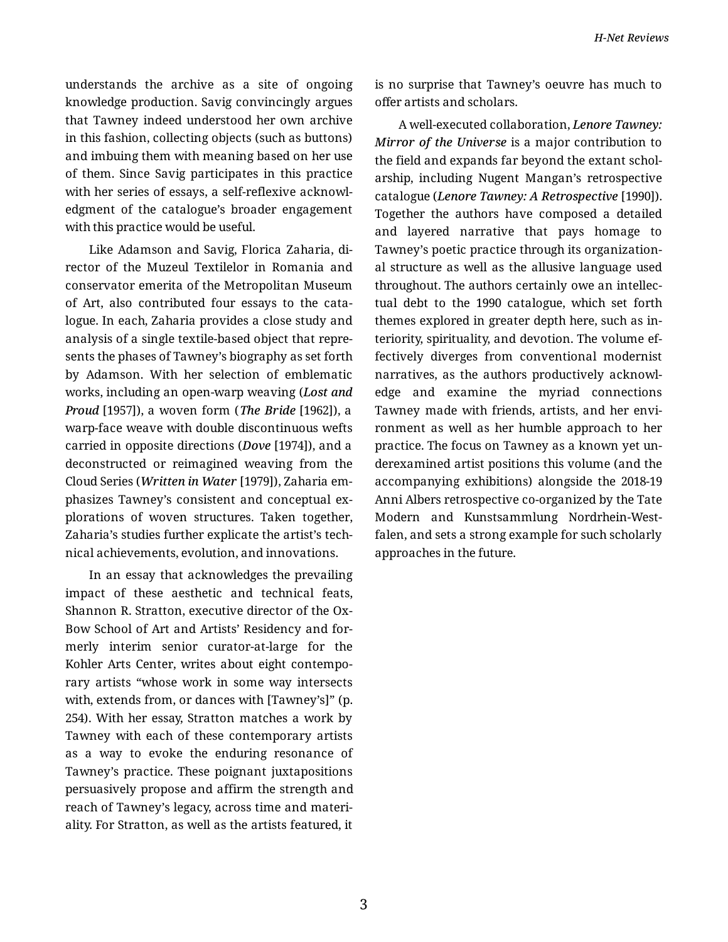understands the archive as a site of ongoing knowledge production. Savig convincingly argues that Tawney indeed understood her own archive in this fashion, collecting objects (such as buttons) and imbuing them with meaning based on her use of them. Since Savig participates in this practice with her series of essays, a self-reflexive acknowl‐ edgment of the catalogue's broader engagement with this practice would be useful.

Like Adamson and Savig, Florica Zaharia, di‐ rector of the Muzeul Textilelor in Romania and conservator emerita of the Metropolitan Museum of Art, also contributed four essays to the cata‐ logue. In each, Zaharia provides a close study and analysis of a single textile-based object that repre‐ sents the phases of Tawney's biography as set forth by Adamson. With her selection of emblematic works, including an open-warp weaving (*Lost and Proud* [1957]), a woven form (*The Bride* [1962]), a warp-face weave with double discontinuous wefts carried in opposite directions (*Dove* [1974]), and a deconstructed or reimagined weaving from the Cloud Series (*Written in Water* [1979]), Zaharia em‐ phasizes Tawney's consistent and conceptual ex‐ plorations of woven structures. Taken together, Zaharia's studies further explicate the artist's tech‐ nical achievements, evolution, and innovations.

In an essay that acknowledges the prevailing impact of these aesthetic and technical feats, Shannon R. Stratton, executive director of the Ox-Bow School of Art and Artists' Residency and for‐ merly interim senior curator-at-large for the Kohler Arts Center, writes about eight contempo‐ rary artists "whose work in some way intersects with, extends from, or dances with [Tawney's]" (p. 254). With her essay, Stratton matches a work by Tawney with each of these contemporary artists as a way to evoke the enduring resonance of Tawney's practice. These poignant juxtapositions persuasively propose and affirm the strength and reach of Tawney's legacy, across time and materi‐ ality. For Stratton, as well as the artists featured, it

is no surprise that Tawney's oeuvre has much to offer artists and scholars.

A well-executed collaboration, *Lenore Tawney: Mirror of the Universe* is a major contribution to the field and expands far beyond the extant schol‐ arship, including Nugent Mangan's retrospective catalogue (*Lenore Tawney: A Retrospective* [1990]). Together the authors have composed a detailed and layered narrative that pays homage to Tawney's poetic practice through its organization‐ al structure as well as the allusive language used throughout. The authors certainly owe an intellec‐ tual debt to the 1990 catalogue, which set forth themes explored in greater depth here, such as in‐ teriority, spirituality, and devotion. The volume ef‐ fectively diverges from conventional modernist narratives, as the authors productively acknowl‐ edge and examine the myriad connections Tawney made with friends, artists, and her envi‐ ronment as well as her humble approach to her practice. The focus on Tawney as a known yet un‐ derexamined artist positions this volume (and the accompanying exhibitions) alongside the 2018-19 Anni Albers retrospective co-organized by the Tate Modern and Kunstsammlung Nordrhein-West‐ falen, and sets a strong example for such scholarly approaches in the future.